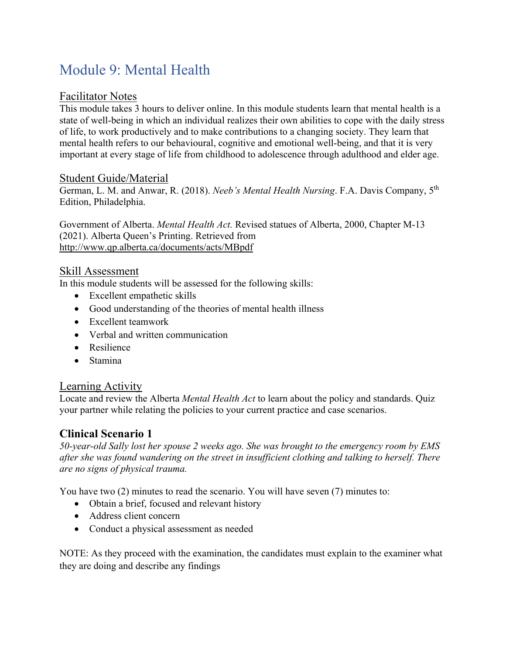# Module 9: Mental Health

#### Facilitator Notes

This module takes 3 hours to deliver online. In this module students learn that mental health is a state of well-being in which an individual realizes their own abilities to cope with the daily stress of life, to work productively and to make contributions to a changing society. They learn that mental health refers to our behavioural, cognitive and emotional well-being, and that it is very important at every stage of life from childhood to adolescence through adulthood and elder age.

#### Student Guide/Material

German, L. M. and Anwar, R. (2018). *Neeb's Mental Health Nursing*. F.A. Davis Company, 5th Edition, Philadelphia.

Government of Alberta. *Mental Health Act.* Revised statues of Alberta, 2000, Chapter M-13 (2021). Alberta Queen's Printing. Retrieved from http://www.qp.alberta.ca/documents/acts/MBpdf

#### Skill Assessment

In this module students will be assessed for the following skills:

- Excellent empathetic skills
- Good understanding of the theories of mental health illness
- Excellent teamwork
- Verbal and written communication
- Resilience
- Stamina

#### Learning Activity

Locate and review the Alberta *Mental Health Act* to learn about the policy and standards. Quiz your partner while relating the policies to your current practice and case scenarios.

#### **Clinical Scenario 1**

*50-year-old Sally lost her spouse 2 weeks ago. She was brought to the emergency room by EMS after she was found wandering on the street in insufficient clothing and talking to herself. There are no signs of physical trauma.* 

You have two (2) minutes to read the scenario. You will have seven (7) minutes to:

- Obtain a brief, focused and relevant history
- Address client concern
- Conduct a physical assessment as needed

NOTE: As they proceed with the examination, the candidates must explain to the examiner what they are doing and describe any findings